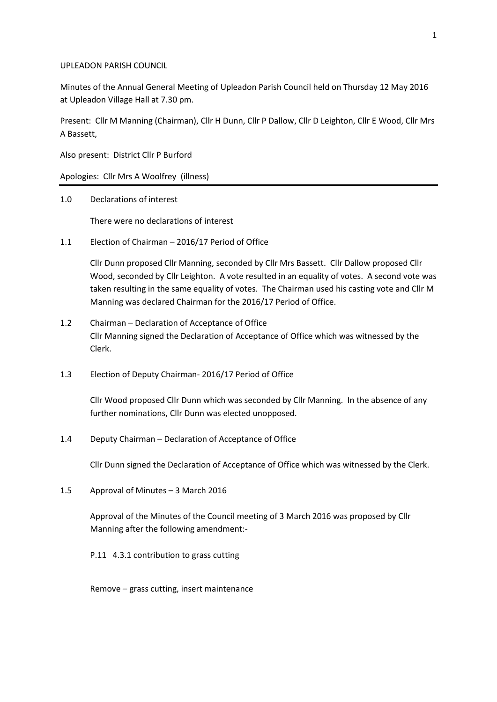### UPLEADON PARISH COUNCIL

Minutes of the Annual General Meeting of Upleadon Parish Council held on Thursday 12 May 2016 at Upleadon Village Hall at 7.30 pm.

Present: Cllr M Manning (Chairman), Cllr H Dunn, Cllr P Dallow, Cllr D Leighton, Cllr E Wood, Cllr Mrs A Bassett,

Also present: District Cllr P Burford

Apologies: Cllr Mrs A Woolfrey (illness)

1.0 Declarations of interest

There were no declarations of interest

1.1 Election of Chairman – 2016/17 Period of Office

Cllr Dunn proposed Cllr Manning, seconded by Cllr Mrs Bassett. Cllr Dallow proposed Cllr Wood, seconded by Cllr Leighton. A vote resulted in an equality of votes. A second vote was taken resulting in the same equality of votes. The Chairman used his casting vote and Cllr M Manning was declared Chairman for the 2016/17 Period of Office.

- 1.2 Chairman Declaration of Acceptance of Office Cllr Manning signed the Declaration of Acceptance of Office which was witnessed by the Clerk.
- 1.3 Election of Deputy Chairman- 2016/17 Period of Office

Cllr Wood proposed Cllr Dunn which was seconded by Cllr Manning. In the absence of any further nominations, Cllr Dunn was elected unopposed.

1.4 Deputy Chairman – Declaration of Acceptance of Office

Cllr Dunn signed the Declaration of Acceptance of Office which was witnessed by the Clerk.

1.5 Approval of Minutes – 3 March 2016

Approval of the Minutes of the Council meeting of 3 March 2016 was proposed by Cllr Manning after the following amendment:-

P.11 4.3.1 contribution to grass cutting

Remove – grass cutting, insert maintenance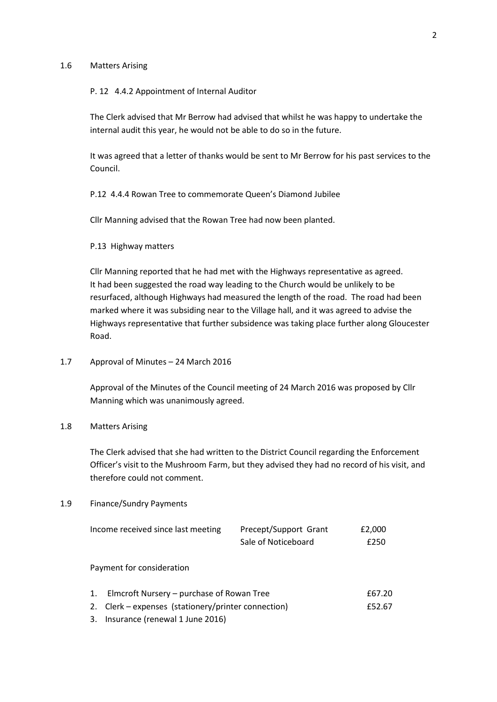### 1.6 Matters Arising

#### P. 12 4.4.2 Appointment of Internal Auditor

The Clerk advised that Mr Berrow had advised that whilst he was happy to undertake the internal audit this year, he would not be able to do so in the future.

It was agreed that a letter of thanks would be sent to Mr Berrow for his past services to the Council.

P.12 4.4.4 Rowan Tree to commemorate Queen's Diamond Jubilee

Cllr Manning advised that the Rowan Tree had now been planted.

P.13 Highway matters

Cllr Manning reported that he had met with the Highways representative as agreed. It had been suggested the road way leading to the Church would be unlikely to be resurfaced, although Highways had measured the length of the road. The road had been marked where it was subsiding near to the Village hall, and it was agreed to advise the Highways representative that further subsidence was taking place further along Gloucester Road.

### 1.7 Approval of Minutes – 24 March 2016

Approval of the Minutes of the Council meeting of 24 March 2016 was proposed by Cllr Manning which was unanimously agreed.

# 1.8 Matters Arising

The Clerk advised that she had written to the District Council regarding the Enforcement Officer's visit to the Mushroom Farm, but they advised they had no record of his visit, and therefore could not comment.

#### 1.9 Finance/Sundry Payments

|                           | Income received since last meeting                  | Precept/Support Grant | £2,000 |
|---------------------------|-----------------------------------------------------|-----------------------|--------|
|                           |                                                     | Sale of Noticeboard   | £250   |
|                           |                                                     |                       |        |
| Payment for consideration |                                                     |                       |        |
|                           |                                                     |                       |        |
| 1.                        | Elmcroft Nursery – purchase of Rowan Tree           |                       | £67.20 |
|                           | 2. Clerk – expenses (stationery/printer connection) |                       | £52.67 |
| 3.                        | Insurance (renewal 1 June 2016)                     |                       |        |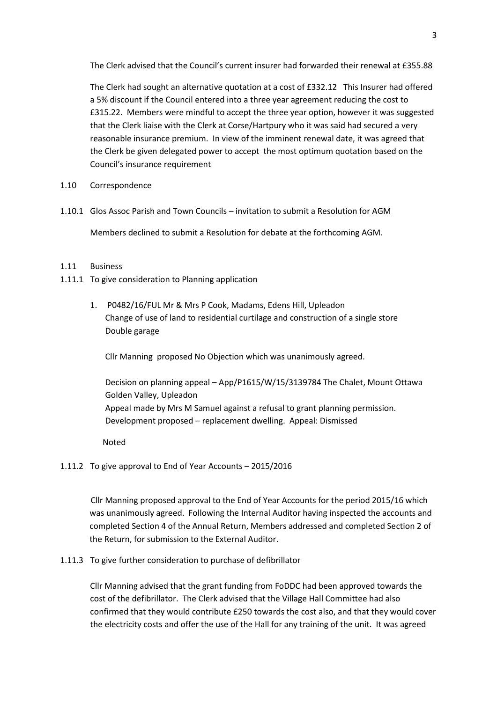The Clerk advised that the Council's current insurer had forwarded their renewal at £355.88

The Clerk had sought an alternative quotation at a cost of £332.12 This Insurer had offered a 5% discount if the Council entered into a three year agreement reducing the cost to £315.22. Members were mindful to accept the three year option, however it was suggested that the Clerk liaise with the Clerk at Corse/Hartpury who it was said had secured a very reasonable insurance premium. In view of the imminent renewal date, it was agreed that the Clerk be given delegated power to accept the most optimum quotation based on the Council's insurance requirement

- 1.10 Correspondence
- 1.10.1 Glos Assoc Parish and Town Councils invitation to submit a Resolution for AGM Members declined to submit a Resolution for debate at the forthcoming AGM.

### 1.11 Business

- 1.11.1 To give consideration to Planning application
	- 1. P0482/16/FUL Mr & Mrs P Cook, Madams, Edens Hill, Upleadon Change of use of land to residential curtilage and construction of a single store Double garage

Cllr Manning proposed No Objection which was unanimously agreed.

Decision on planning appeal – App/P1615/W/15/3139784 The Chalet, Mount Ottawa Golden Valley, Upleadon Appeal made by Mrs M Samuel against a refusal to grant planning permission. Development proposed – replacement dwelling. Appeal: Dismissed

Noted

## 1.11.2 To give approval to End of Year Accounts – 2015/2016

 Cllr Manning proposed approval to the End of Year Accounts for the period 2015/16 which was unanimously agreed. Following the Internal Auditor having inspected the accounts and completed Section 4 of the Annual Return, Members addressed and completed Section 2 of the Return, for submission to the External Auditor.

### 1.11.3 To give further consideration to purchase of defibrillator

Cllr Manning advised that the grant funding from FoDDC had been approved towards the cost of the defibrillator. The Clerk advised that the Village Hall Committee had also confirmed that they would contribute £250 towards the cost also, and that they would cover the electricity costs and offer the use of the Hall for any training of the unit. It was agreed